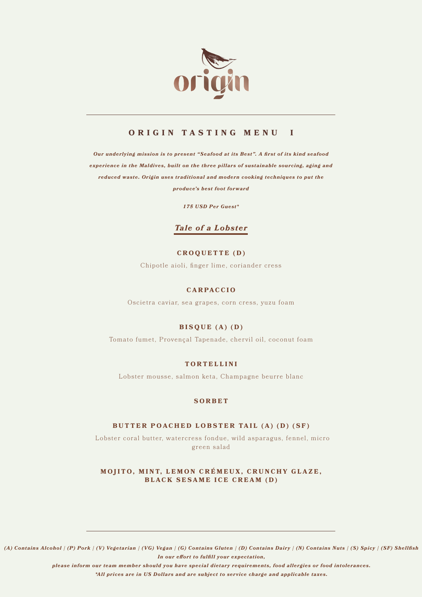

# **ORIGIN TASTING MENU I**

*Our underlying mission is to present "Seafood at its Best". A first of its kind seafood experience in the Maldives, built on the three pillars of sustainable sourcing, aging and reduced waste. Origin uses traditional and modern cooking techniques to put the produce's best foot forward*

*175 USD Per Guest\** 

# *Tale of a Lobster*

# **CROQUETTE (D)**

Chipotle aioli, finger lime, coriander cress

# **CARPACCIO**

Oscietra caviar, sea grapes, corn cress, yuzu foam

# **BISQUE (A) (D)**

Tomato fumet, Provençal Tapenade, chervil oil, coconut foam

# **TORTELLINI**

Lobster mousse, salmon keta, Champagne beurre blanc

# **SORBET**

# **BUTTER POACHED LOBSTER TAIL (A) (D) (SF)**

Lobster coral butter, watercress fondue, wild asparagus, fennel, micro green salad

**MOJITO, MINT, LEMON CRÉMEUX, CRUNCHY GLAZE, BLACK SESAME ICE CREAM (D)**

*(A) Contains Alcohol | (P) Pork | (V) Vegetarian | (VG) Vegan | (G) Contains Gluten | (D) Contains Dairy | (N) Contains Nuts | (S) Spicy | (SF) Shellfish In our effort to fulfill your expectation,* 

*please inform our team member should you have special dietary requirements, food allergies or food intolerances.*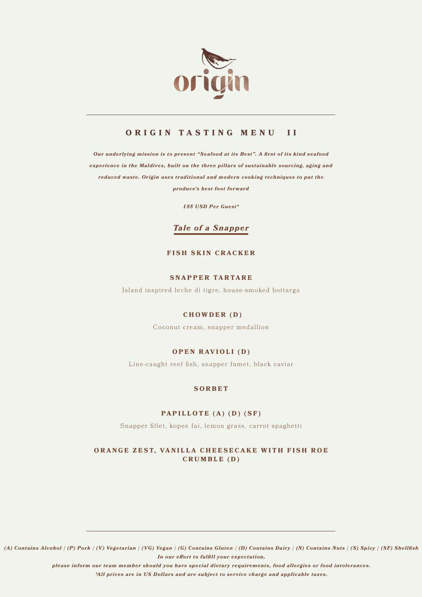

# **ORIGIN TASTING MENU II**

*Our underlying mission is to present "Seafood at its Best". A first of its kind seafood experience in the Maldives, built on the three pillars of sustainable sourcing, aging and reduced waste. Origin uses traditional and modern cooking techniques to put the produce's best foot forward*

*155 USD Per Guest\** 

# *Tale of a Snapper*

### **FISH SKIN CRACKER**

### **SNAPPER TARTARE**

Island inspired leche di tigre, house-smoked bottarga

### **CHOWDER (D)**

Coconut cream, snapper medallion

# **OPEN RAVIOLI (D)**

Line-caught reef fish, snapper fumet, black caviar

#### **SORBET**

#### **PAPILLOTE (A) (D) (SF)**

Snapper fillet, kopee fai, lemon grass, carrot spaghetti

# **ORANGE ZEST, VANILLA CHEESECAKE WITH FISH ROE CRUMBLE (D)**

*(A) Contains Alcohol | (P) Pork | (V) Vegetarian | (VG) Vegan | (G) Contains Gluten | (D) Contains Dairy | (N) Contains Nuts | (S) Spicy | (SF) Shellfish In our effort to fulfill your expectation,* 

*please inform our team member should you have special dietary requirements, food allergies or food intolerances.*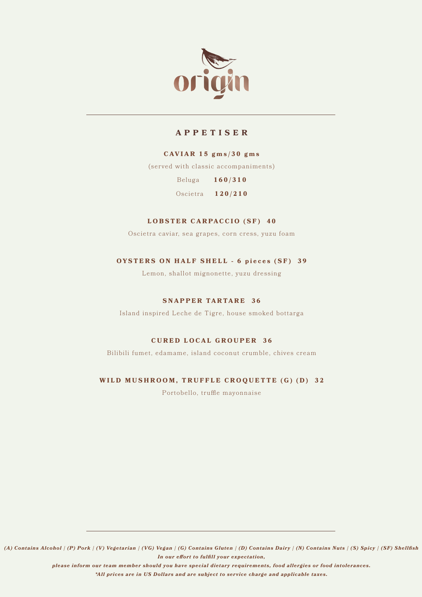

# **APPETISER**

#### **CAVIAR 15 gms/30 gms**

(served with classic accompaniments)

Beluga **160/310**

Oscietra **120/210**

### **LOBSTER CARPACCIO (SF) 40**

Oscietra caviar, sea grapes, corn cress, yuzu foam

# **OYSTERS ON HALF SHELL - 6 pieces (SF) 39**

Lemon, shallot mignonette, yuzu dressing

#### **SNAPPER TARTARE 36**

Island inspired Leche de Tigre, house smoked bottarga

#### **CURED LOCAL GROUPER 36**

Bilibili fumet, edamame, island coconut crumble, chives cream

# **WILD MUSHROOM, TRUFFLE CROQUETTE (G) (D) 32**

Portobello, truffle mayonnaise

*(A) Contains Alcohol | (P) Pork | (V) Vegetarian | (VG) Vegan | (G) Contains Gluten | (D) Contains Dairy | (N) Contains Nuts | (S) Spicy | (SF) Shellfish In our effort to fulfill your expectation,* 

*please inform our team member should you have special dietary requirements, food allergies or food intolerances.*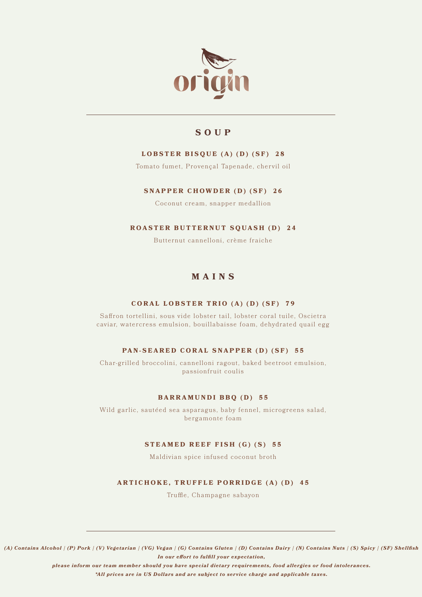

# **SOUP**

# **LOBSTER BISQUE (A) (D) (SF) 28**

Tomato fumet, Provençal Tapenade, chervil oil

# **SNAPPER CHOWDER (D) (SF) 26**

Coconut cream, snapper medallion

# **ROASTER BUTTERNUT SQUASH (D) 24**

Butternut cannelloni, crème fraiche

# **MAINS**

# **CORAL LOBSTER TRIO (A) (D) (SF) 7 9**

Saffron tortellini, sous vide lobster tail, lobster coral tuile, Oscietra caviar, watercress emulsion, bouillabaisse foam, dehydrated quail egg

# **PAN-SEARED CORAL SNAPPER (D) (SF) 55**

Char-grilled broccolini, cannelloni ragout, baked beetroot emulsion, passionfruit coulis

# **BARRAMUNDI BBQ (D) 55**

Wild garlic, sautéed sea asparagus, baby fennel, microgreens salad, bergamonte foam

# **STEAMED REEF FISH (G) (S) 55**

Maldivian spice infused coconut broth

# **ARTICHOKE, TRUFFLE PORRIDGE (A) (D) 45**

Truffle, Champagne sabayon

*(A) Contains Alcohol | (P) Pork | (V) Vegetarian | (VG) Vegan | (G) Contains Gluten | (D) Contains Dairy | (N) Contains Nuts | (S) Spicy | (SF) Shellfish In our effort to fulfill your expectation,* 

*please inform our team member should you have special dietary requirements, food allergies or food intolerances.*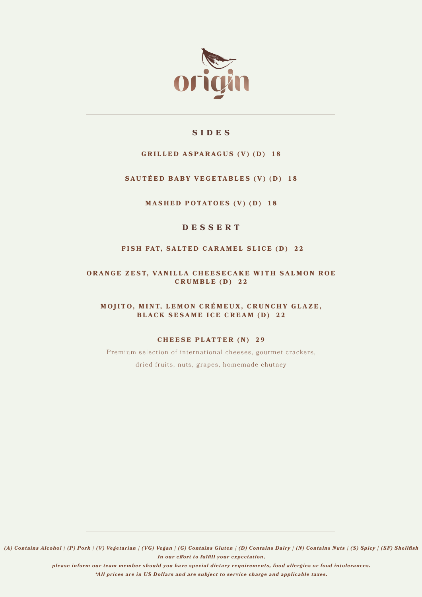

# **SIDES**

# **GRILLED ASPARAGUS (V) (D) 18**

# **SAUTÉED BABY VEGETABLES (V) (D) 18**

**MASHED POTATOES (V) (D) 18**

# **DESSERT**

### FISH FAT, SALTED CARAMEL SLICE (D) 22

**ORANGE ZEST, VANILLA CHEESECAKE WITH SALMON ROE CRUMBLE (D) 22**

**MOJITO, MINT, LEMON CRÉMEUX, CRUNCHY GLAZE, BLACK SESAME ICE CREAM (D) 22**

#### **CHEESE PLATTER (N) 29**

Premium selection of international cheeses, gourmet crackers, dried fruits, nuts, grapes, homemade chutney

*(A) Contains Alcohol | (P) Pork | (V) Vegetarian | (VG) Vegan | (G) Contains Gluten | (D) Contains Dairy | (N) Contains Nuts | (S) Spicy | (SF) Shellfish In our effort to fulfill your expectation,* 

*please inform our team member should you have special dietary requirements, food allergies or food intolerances.*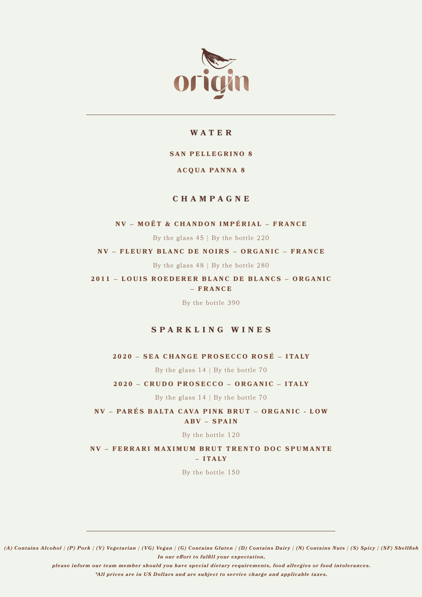

# **WATER**

# **SAN PELLEGRINO 8**

### **ACQUA PANNA 8**

# **CHAMPAGNE**

#### **NV – MOËT & CHANDON IMPÉRIAL – FRANCE**

By the glass  $45 \mid$  By the bottle 220

**NV – FLEURY BLANC DE NOIRS – ORGANIC – FRANCE**

By the glass 48 | By the bottle 280

**2011 – LOUIS ROEDERER BLANC DE BLANCS – ORGANIC – FRANCE**

By the bottle 390

# **SPARKLING WINES**

**2020 – SEA CHANGE PROSECCO ROSÉ – ITALY** 

By the glass  $14$  | By the bottle 70

**2 0 2 0 – C R U D O P R O S E C C O – O R G A N I C – I TA LY**

By the glass  $14 \mid$  By the bottle 70

**NV – PARÉS BALTA CAVA PINK BRUT – ORGANIC - LOW ABV – SPAIN**

By the bottle 120

**NV – FERRARI MAXIMUM BRUT TRENTO DOC SPUMANTE**   $-$ **ITALY** 

By the bottle 150

*(A) Contains Alcohol | (P) Pork | (V) Vegetarian | (VG) Vegan | (G) Contains Gluten | (D) Contains Dairy | (N) Contains Nuts | (S) Spicy | (SF) Shellfish In our effort to fulfill your expectation,* 

*please inform our team member should you have special dietary requirements, food allergies or food intolerances.*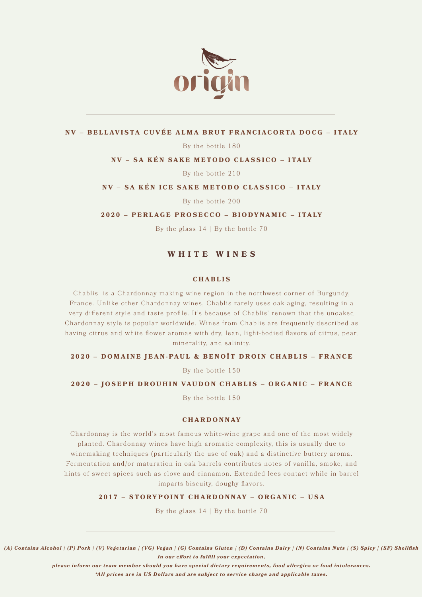

### **N V – B E L LAV I STA C U V É E A L M A B R U T F R A N C I AC O R TA D O C G – I TA LY**

By the bottle 180

### **NV – SA KÉN SAKE METODO CLASSICO – ITALY**

By the bottle 210

#### **NV – SA KÉN ICE SAKE METODO CLASSICO – ITALY**

By the bottle 200

#### **2020 – PERLAGE PROSECCO – BIODYNAMIC – ITALY**

By the glass  $14 \mid$  By the bottle 70

# **WHITE WINES**

#### **CHABLIS**

Chablis is a Chardonnay making wine region in the northwest corner of Burgundy, France. Unlike other Chardonnay wines, Chablis rarely uses oak-aging, resulting in a very different style and taste profile. It's because of Chablis' renown that the unoaked Chardonnay style is popular worldwide. Wines from Chablis are frequently described as having citrus and white flower aromas with dry, lean, light-bodied flavors of citrus, pear, minerality, and salinity.

#### **2020 – DOMAINE JEAN-PAUL & BENOÎT DROIN CHABLIS – FRANCE**

By the bottle 150

#### **2020 – JOSEPH DROUHIN VAUDON CHABLIS – ORGANIC – FRANCE**

By the bottle 150

#### **CHARDONNAY**

Chardonnay is the world's most famous white-wine grape and one of the most widely planted. Chardonnay wines have high aromatic complexity, this is usually due to winemaking techniques (particularly the use of oak) and a distinctive buttery aroma. Fermentation and/or maturation in oak barrels contributes notes of vanilla, smoke, and hints of sweet spices such as clove and cinnamon. Extended lees contact while in barrel imparts biscuity, doughy flavors.

**2017 – STORYPOINT CHARDONNAY – ORGANIC – USA** 

By the glass  $14$  | By the bottle 70

*(A) Contains Alcohol | (P) Pork | (V) Vegetarian | (VG) Vegan | (G) Contains Gluten | (D) Contains Dairy | (N) Contains Nuts | (S) Spicy | (SF) Shellfish In our effort to fulfill your expectation,* 

*please inform our team member should you have special dietary requirements, food allergies or food intolerances.*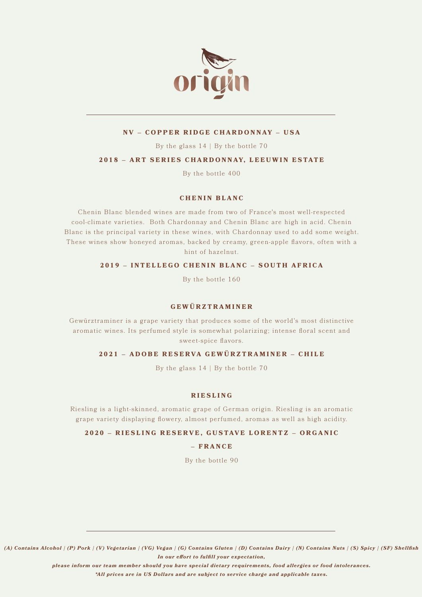

### **NV – COPPER RIDGE CHARDONNAY – USA**

By the glass  $14 \mid$  By the bottle 70

### **2018 – ART SERIES CHARDONNAY, LEEUWIN ESTATE**

By the bottle 400

### **CHENIN BLANC**

Chenin Blanc blended wines are made from two of France's most well-respected cool-climate varieties. Both Chardonnay and Chenin Blanc are high in acid. Chenin Blanc is the principal variety in these wines, with Chardonnay used to add some weight. These wines show honeyed aromas, backed by creamy, green-apple flavors, often with a hint of hazelnut.

# **2019 – INTELLEGO CHENIN BLANC – SOUTH AFRICA**

By the bottle 160

# **GEWÜRZTRAMINER**

Gewürztraminer is a grape variety that produces some of the world's most distinctive aromatic wines. Its perfumed style is somewhat polarizing; intense floral scent and sweet-spice flavors.

# **2021 – ADOBE RESERVA GEWÜRZTRAMINER – CHILE**

By the glass 14 | By the bottle 70

#### **RIESLING**

Riesling is a light-skinned, aromatic grape of German origin. Riesling is an aromatic grape variety displaying flowery, almost perfumed, aromas as well as high acidity.

#### **2020 – RIESLING RESERVE, GUSTAVE LORENTZ – ORGANIC**

### **– FRANCE**

By the bottle 90

*(A) Contains Alcohol | (P) Pork | (V) Vegetarian | (VG) Vegan | (G) Contains Gluten | (D) Contains Dairy | (N) Contains Nuts | (S) Spicy | (SF) Shellfish In our effort to fulfill your expectation,* 

*please inform our team member should you have special dietary requirements, food allergies or food intolerances.*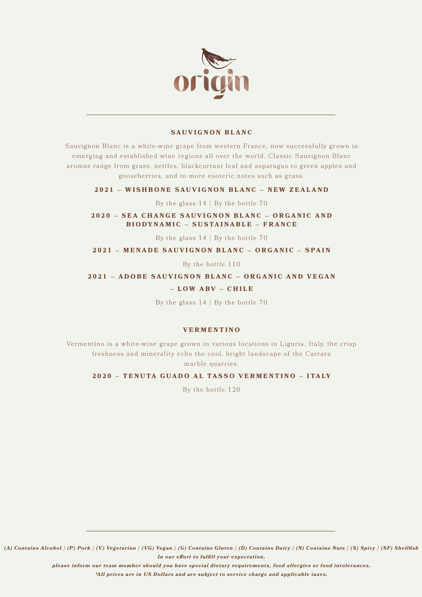

#### **SAUVIGNON BLANC**

Sauvignon Blanc is a white-wine grape from western France, now successfully grown in emerging and established wine regions all over the world. Classic Sauvignon Blanc aromas range from grass, nettles, blackcurrant leaf and asparagus to green apples and gooseberries, and to more esoteric notes such as grass.

#### **2021 – WISHBONE SAUVIGNON BLANC – NEW ZEALAND**

By the glass  $14 \mid$  By the bottle 70

#### **2020 – SEA CHANGE SAUVIGNON BLANC – ORGANIC AND BIODYNAMIC – SUSTAINABLE – FRANCE**

By the glass  $14$  | By the bottle 70

#### **2021 – MENADE SAUVIGNON BLANC – ORGANIC – SPAIN**

By the bottle 110

#### **2021 – ADOBE SAUVIGNON BLANC – ORGANIC AND VEGAN**

#### **– LOW ABV – CHILE**

By the glass  $14$  | By the bottle 70

### **VERMENTINO**

Vermentino is a white-wine grape grown in various locations in Liguria, Italy, the crisp freshness and minerality echo the cool, bright landscape of the Carrara marble quarries.

#### **2020 - TENUTA GUADO AL TASSO VERMENTINO - ITALY**

By the bottle 120

*(A) Contains Alcohol | (P) Pork | (V) Vegetarian | (VG) Vegan | (G) Contains Gluten | (D) Contains Dairy | (N) Contains Nuts | (S) Spicy | (SF) Shellfish In our effort to fulfill your expectation,* 

*please inform our team member should you have special dietary requirements, food allergies or food intolerances.*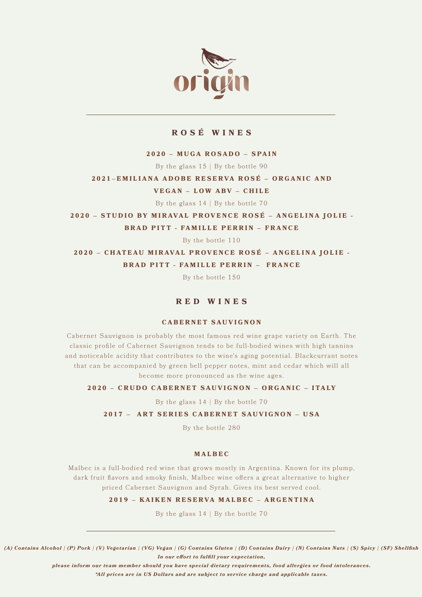

# **ROSÉ WINES**

### **2020 – MUGA ROSADO – SPAIN**

By the glass 15 | By the bottle 90

### **2021–EMILIANA ADOBE RESERVA ROSÉ – ORGANIC AND**

#### **VEGAN – LOW ABV – CHILE**

By the glass  $14 \mid$  By the bottle 70

**2020 – STUDIO BY MIRAVAL PROVENCE ROSÉ – ANGELINA JOLIE - BRAD PITT - FAMILLE PERRIN – FRANCE**

By the bottle 110

**2020 – CHATEAU MIRAVAL PROVENCE ROSÉ – ANGELINA JOLIE - BRAD PITT - FAMILLE PERRIN – FRANCE**

By the bottle 150

# **RED WINES**

#### **CABERNET SAUVIGNON**

Cabernet Sauvignon is probably the most famous red wine grape variety on Earth. The classic profile of Cabernet Sauvignon tends to be full-bodied wines with high tannins and noticeable acidity that contributes to the wine's aging potential. Blackcurrant notes that can be accompanied by green bell pepper notes, mint and cedar which will all become more pronounced as the wine ages.

#### **2 0 2 0 – C R U D O C A B E R N E T SAU V I G N O N – O R G A N I C – I TA LY**

By the glass  $14$  | By the bottle 70

#### **2017 – ART SERIES CABERNET SAUVIGNON – USA**

By the bottle 280

#### **MALBEC**

Malbec is a full-bodied red wine that grows mostly in Argentina. Known for its plump, dark fruit flavors and smoky finish, Malbec wine offers a great alternative to higher priced Cabernet Sauvignon and Syrah. Gives its best served cool.

# **2019 – KAIKEN RESERVA MALBEC – ARGENTINA**

By the glass  $14 \mid$  By the bottle 70

*(A) Contains Alcohol | (P) Pork | (V) Vegetarian | (VG) Vegan | (G) Contains Gluten | (D) Contains Dairy | (N) Contains Nuts | (S) Spicy | (SF) Shellfish In our effort to fulfill your expectation,* 

*please inform our team member should you have special dietary requirements, food allergies or food intolerances.*